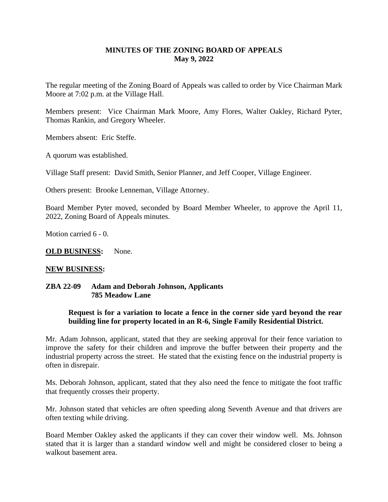# **MINUTES OF THE ZONING BOARD OF APPEALS May 9, 2022**

The regular meeting of the Zoning Board of Appeals was called to order by Vice Chairman Mark Moore at 7:02 p.m. at the Village Hall.

Members present: Vice Chairman Mark Moore, Amy Flores, Walter Oakley, Richard Pyter, Thomas Rankin, and Gregory Wheeler.

Members absent: Eric Steffe.

A quorum was established.

Village Staff present: David Smith, Senior Planner, and Jeff Cooper, Village Engineer.

Others present: Brooke Lenneman, Village Attorney.

Board Member Pyter moved, seconded by Board Member Wheeler, to approve the April 11, 2022, Zoning Board of Appeals minutes.

Motion carried 6 - 0.

**OLD BUSINESS:** None.

#### **NEW BUSINESS:**

#### **ZBA 22-09 Adam and Deborah Johnson, Applicants 785 Meadow Lane**

### **Request is for a variation to locate a fence in the corner side yard beyond the rear building line for property located in an R-6, Single Family Residential District.**

Mr. Adam Johnson, applicant, stated that they are seeking approval for their fence variation to improve the safety for their children and improve the buffer between their property and the industrial property across the street. He stated that the existing fence on the industrial property is often in disrepair.

Ms. Deborah Johnson, applicant, stated that they also need the fence to mitigate the foot traffic that frequently crosses their property.

Mr. Johnson stated that vehicles are often speeding along Seventh Avenue and that drivers are often texting while driving.

Board Member Oakley asked the applicants if they can cover their window well. Ms. Johnson stated that it is larger than a standard window well and might be considered closer to being a walkout basement area.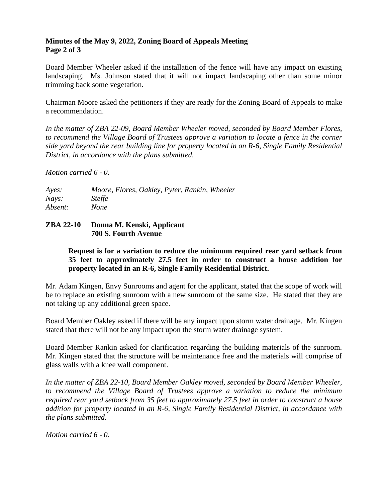## **Minutes of the May 9, 2022, Zoning Board of Appeals Meeting Page 2 of 3**

Board Member Wheeler asked if the installation of the fence will have any impact on existing landscaping. Ms. Johnson stated that it will not impact landscaping other than some minor trimming back some vegetation.

Chairman Moore asked the petitioners if they are ready for the Zoning Board of Appeals to make a recommendation.

*In the matter of ZBA 22-09, Board Member Wheeler moved, seconded by Board Member Flores, to recommend the Village Board of Trustees approve a variation to locate a fence in the corner side yard beyond the rear building line for property located in an R-6, Single Family Residential District, in accordance with the plans submitted.*

*Motion carried 6 - 0.*

| Ayes:   | Moore, Flores, Oakley, Pyter, Rankin, Wheeler |
|---------|-----------------------------------------------|
| Nays:   | <i>Steffe</i>                                 |
| Absent: | <i>None</i>                                   |

# **ZBA 22-10 Donna M. Kenski, Applicant 700 S. Fourth Avenue**

# **Request is for a variation to reduce the minimum required rear yard setback from 35 feet to approximately 27.5 feet in order to construct a house addition for property located in an R-6, Single Family Residential District.**

Mr. Adam Kingen, Envy Sunrooms and agent for the applicant, stated that the scope of work will be to replace an existing sunroom with a new sunroom of the same size. He stated that they are not taking up any additional green space.

Board Member Oakley asked if there will be any impact upon storm water drainage. Mr. Kingen stated that there will not be any impact upon the storm water drainage system.

Board Member Rankin asked for clarification regarding the building materials of the sunroom. Mr. Kingen stated that the structure will be maintenance free and the materials will comprise of glass walls with a knee wall component.

*In the matter of ZBA 22-10, Board Member Oakley moved, seconded by Board Member Wheeler, to recommend the Village Board of Trustees approve a variation to reduce the minimum required rear yard setback from 35 feet to approximately 27.5 feet in order to construct a house addition for property located in an R-6, Single Family Residential District, in accordance with the plans submitted.*

*Motion carried 6 - 0.*